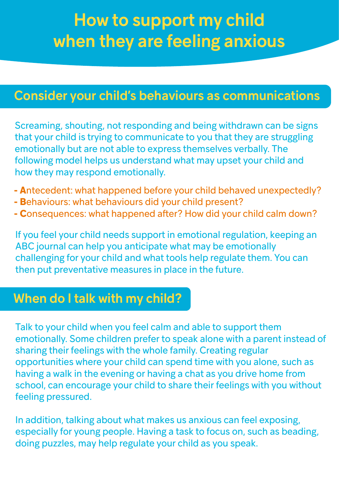# How to support my child when they are feeling anxious

## Consider your child's behaviours as communications

Screaming, shouting, not responding and being withdrawn can be signs that your child is trying to communicate to you that they are struggling emotionally but are not able to express themselves verbally. The following model helps us understand what may upset your child and how they may respond emotionally.

- **A**ntecedent: what happened before your child behaved unexpectedly?
- **B**ehaviours: what behaviours did your child present?
- **C**onsequences: what happened after? How did your child calm down?

If you feel your child needs support in emotional regulation, keeping an ABC journal can help you anticipate what may be emotionally challenging for your child and what tools help regulate them. You can then put preventative measures in place in the future.

#### When do I talk with my child?

Talk to your child when you feel calm and able to support them emotionally. Some children prefer to speak alone with a parent instead of sharing their feelings with the whole family. Creating regular opportunities where your child can spend time with you alone, such as having a walk in the evening or having a chat as you drive home from school, can encourage your child to share their feelings with you without feeling pressured.

In addition, talking about what makes us anxious can feel exposing, especially for young people. Having a task to focus on, such as beading, doing puzzles, may help regulate your child as you speak.